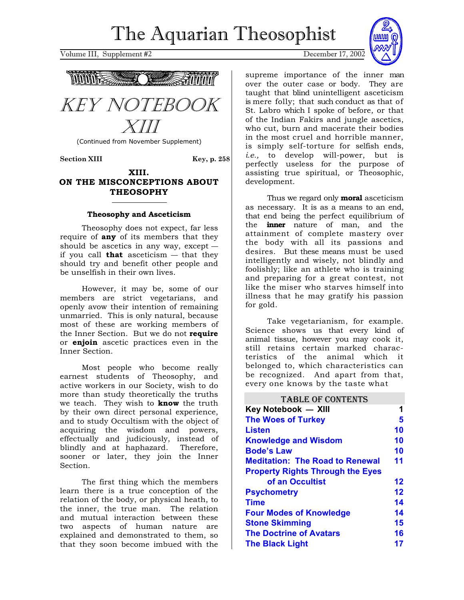Volume III, Supplement #2 December 17, 2002





(Continued from November Supplement)

Section XIII Key, p. 258

### **XIII. ON THE MISCONCEPTIONS ABOUT THEOSOPHY**

### **Theosophy and Asceticism**

Theosophy does not expect, far less require of **any** of its members that they should be ascetics in any way, except if you call **that** asceticism — that they should try and benefit other people and be unselfish in their own lives.

However, it may be, some of our members are strict vegetarians, and openly avow their intention of remaining unmarried. This is only natural, because most of these are working members of the Inner Section. But we do not **require** or **enjoin** ascetic practices even in the Inner Section.

Most people who become really earnest students of Theosophy, and active workers in our Society, wish to do more than study theoretically the truths we teach. They wish to **know** the truth by their own direct personal experience, and to study Occultism with the object of acquiring the wisdom and powers, effectually and judiciously, instead of blindly and at haphazard. Therefore, sooner or later, they join the Inner Section.

The first thing which the members learn there is a true conception of the relation of the body, or physical heath, to the inner, the true man. The relation and mutual interaction between these two aspects of human nature are explained and demonstrated to them, so that they soon become imbued with the



Thus we regard only **moral** asceticism as necessary. It is as a means to an end, that end being the perfect equilibrium of the **inner** nature of man, and the attainment of complete mastery over the body with all its passions and desires. But these means must be used intelligently and wisely, not blindly and foolishly; like an athlete who is training and preparing for a great contest, not like the miser who starves himself into illness that he may gratify his passion for gold.

Take vegetarianism, for example. Science shows us that every kind of animal tissue, however you may cook it, still retains certain marked characteristics of the animal which it belonged to, which characteristics can be recognized. And apart from that, every one knows by the taste what

| <b>TABLE OF CONTENTS</b>                |                   |
|-----------------------------------------|-------------------|
| Key Notebook - XIII                     | 1                 |
| <b>The Woes of Turkey</b>               | 5                 |
| Listen                                  | 10                |
| <b>Knowledge and Wisdom</b>             | 10                |
| <b>Bode's Law</b>                       | 10                |
| <b>Meditation: The Road to Renewal</b>  | 11                |
| <b>Property Rights Through the Eyes</b> |                   |
| of an Occultist                         | $12 \ \mathsf{ }$ |
| <b>Psychometry</b>                      | 12                |
| <b>Time</b>                             | 14                |
| <b>Four Modes of Knowledge</b>          | 14                |
| <b>Stone Skimming</b>                   | 15                |
| <b>The Doctrine of Avatars</b>          | 16                |
| <b>The Black Light</b>                  | 17                |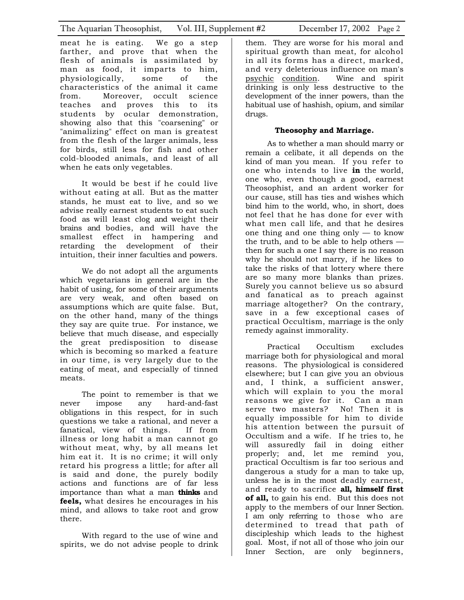meat he is eating. We go a step farther, and prove that when the flesh of animals is assimilated by man as food, it imparts to him, physiologically, some of the characteristics of the animal it came from. Moreover, occult science teaches and proves this to its students by ocular demonstration, showing also that this "coarsening" or "animalizing" effect on man is greatest from the flesh of the larger animals, less for birds, still less for fish and other cold-blooded animals, and least of all when he eats only vegetables.

It would be best if he could live without eating at all. But as the matter stands, he must eat to live, and so we advise really earnest students to eat such food as will least clog and weight their brains and bodies, and will have the smallest effect in hampering and retarding the development of their intuition, their inner faculties and powers.

We do not adopt all the arguments which vegetarians in general are in the habit of using, for some of their arguments are very weak, and often based on assumptions which are quite false. But, on the other hand, many of the things they say are quite true. For instance, we believe that much disease, and especially the great predisposition to disease which is becoming so marked a feature in our time, is very largely due to the eating of meat, and especially of tinned meats.

The point to remember is that we never impose any hard-and-fast obligations in this respect, for in such questions we take a rational, and never a fanatical, view of things. If from illness or long habit a man cannot go without meat, why, by all means let him eat it. It is no crime; it will only retard his progress a little; for after all is said and done, the purely bodily actions and functions are of far less importance than what a man **thinks** and **feels,** what desires he encourages in his mind, and allows to take root and grow there.

With regard to the use of wine and spirits, we do not advise people to drink

them. They are worse for his moral and spiritual growth than meat, for alcohol in all its forms has a direct, marked, and very deleterious influence on man's psychic condition. Wine and spirit drinking is only less destructive to the development of the inner powers, than the habitual use of hashish, opium, and similar drugs.

### **Theosophy and Marriage.**

As to whether a man should marry or remain a celibate, it all depends on the kind of man you mean. If you refer to one who intends to live **in** the world, one who, even though a good, earnest Theosophist, and an ardent worker for our cause, still has ties and wishes which bind him to the world, who, in short, does not feel that he has done for ever with what men call life, and that he desires one thing and one thing only  $-$  to know the truth, and to be able to help others then for such a one I say there is no reason why he should not marry, if he likes to take the risks of that lottery where there are so many more blanks than prizes. Surely you cannot believe us so absurd and fanatical as to preach against marriage altogether? On the contrary, save in a few exceptional cases of practical Occultism, marriage is the only remedy against immorality.

Practical Occultism excludes marriage both for physiological and moral reasons. The physiological is considered elsewhere; but I can give you an obvious and, I think, a sufficient answer, which will explain to you the moral reasons we give for it. Can a man serve two masters? No! Then it is equally impossible for him to divide his attention between the pursuit of Occultism and a wife. If he tries to, he will assuredly fail in doing either properly; and, let me remind you, practical Occultism is far too serious and dangerous a study for a man to take up, unless he is in the most deadly earnest, and ready to sacrifice **all, himself first of all,** to gain his end. But this does not apply to the members of our Inner Section. I am only referring to those who are determined to tread that path of discipleship which leads to the highest goal. Most, if not all of those who join our Inner Section, are only beginners,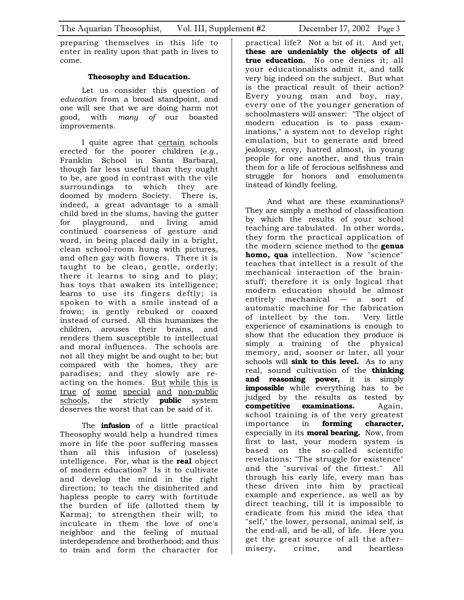preparing themselves in this life to enter in reality upon that path in lives to come.

### **Theosophy and Education.**

Let us consider this question of *education* from a broad standpoint, and one will see that we are doing harm not good, with *many of* our boasted improvements.

I quite agree that certain schools erected for the poorer children (*e.g.,* Franklin School in Santa Barbara), though far less useful than they ought to be, are good in contrast with the vile surroundings to which they are doomed by modern Society. There is, indeed, a great advantage to a small child bred in the slums, having the gutter for playground, and living amid continued coarseness of gesture and word, in being placed daily in a bright, clean school-room hung with pictures, and often gay with flowers. There it is taught to be clean, gentle, orderly; there it learns to sing and to play; has toys that awaken its intelligence; learns to use its fingers deftly; is spoken to with a smile instead of a frown; is gently rebuked or coaxed instead of cursed. All this humanizes the children, arouses their brains, and renders them susceptible to intellectual and moral influences. The schools are not all they might be and ought to be; but compared with the homes, they are paradises; and they slowly are reacting on the homes. But while this is true of some special and non-public schools, the strictly **public** system deserves the worst that can be said of it.

The **infusion** of a little practical Theosophy would help a hundred times more in life the poor suffering masses than all this infusion of (useless) intelligence. For, what is the **real** object of modern education? Is it to cultivate and develop the mind in the right direction; to teach the disinherited and hapless people to carry with fortitude the burden of life (allotted them by Karma); to strengthen their will; to inculcate in them the love of one's neighbor and the feeling of mutual interdependence and brotherhood; and thus to train and form the character for

practical life? Not a bit of it. And yet, **these are undeniably the objects of all true education.** No one denies it; all your educationalists admit it, and talk very big indeed on the subject. But what is the practical result of their action? Every young man and boy, nay, every one of the younger generation of schoolmasters will answer: "The object of modern education is to pass examinations," a system not to develop right emulation, but to generate and breed jealousy, envy, hatred almost, in young people for one another, and thus train them for a life of ferocious selfishness and struggle for honors and emoluments instead of kindly feeling.

And what are these examinations? They are simply a method of classification by which the results of your school teaching are tabulated. In other words, they form the practical application of the modern science method to the **genus homo, qua** intellection. Now "science" teaches that intellect is a result of the mechanical interaction of the brainstuff; therefore it is only logical that modern education should be almost entirely mechanical — a sort of automatic machine for the fabrication of intellect by the ton. Very little experience of examinations is enough to show that the education they produce is simply a training of the physical memory, and, sooner or later, all your schools will **sink to this level.** As to any real, sound cultivation of the **thinking and reasoning power,** it is simply **impossible** while everything has to be judged by the results as tested by **competitive examinations.** Again, school training is of the very greatest importance in **forming character,**  especially in its **moral bearing.** Now, from first to last, your modern system is based on the so-called scientific revelations: "The struggle for existence" and the "survival of the fittest." All through his early life, every man has these driven into him by practical example and experience, as well as by direct teaching, till it is impossible to eradicate from his mind the idea that "self," the lower, personal, animal self, is the end-all, and be-all, of life. Here you get the great source of all the aftermisery, crime, and heartless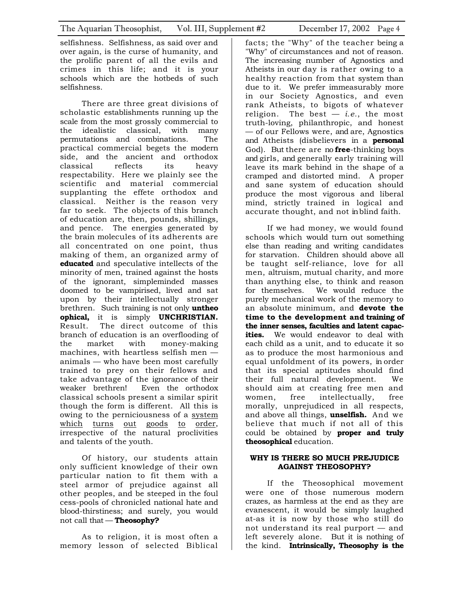selfishness. Selfishness, as said over and over again, is the curse of humanity, and the prolific parent of all the evils and crimes in this life; and it is your schools which are the hotbeds of such selfishness.

There are three great divisions of scholastic establishments running up the scale from the most grossly commercial to the idealistic classical, with many permutations and combinations. The practical commercial begets the modern side, and the ancient and orthodox classical reflects its heavy respectability. Here we plainly see the scientific and material commercial supplanting the effete orthodox and classical. Neither is the reason very far to seek. The objects of this branch of education are, then, pounds, shillings, and pence. The energies generated by the brain molecules of its adherents are all concentrated on one point, thus making of them, an organized army of **educated** and speculative intellects of the minority of men, trained against the hosts of the ignorant, simpleminded masses doomed to be vampirised, lived and sat upon by their intellectually stronger brethren. Such training is not only **untheo ophical,** it is simply **UNCHRISTIAN.**  Result. The direct outcome of this branch of education is an overflooding of the market with money-making machines, with heartless selfish men animals — who have been most carefully trained to prey on their fellows and take advantage of the ignorance of their weaker brethren! Even the orthodox classical schools present a similar spirit though the form is different. All this is owing to the perniciousness of a system which turns out goods to order, irrespective of the natural proclivities and talents of the youth.

Of history, our students attain only sufficient knowledge of their own particular nation to fit them with a steel armor of prejudice against all other peoples, and be steeped in the foul cess-pools of chronicled national hate and blood-thirstiness; and surely, you would not call that — **Theosophy?** 

As to religion, it is most often a memory lesson of selected Biblical

facts; the "Why" of the teacher being a "Why" of circumstances and not of reason. The increasing number of Agnostics and Atheists in our day is rather owing to a healthy reaction from that system than due to it. We prefer immeasurably more in our Society Agnostics, and even rank Atheists, to bigots of whatever religion. The best — *i.e.*, the most truth-loving, philanthropic, and honest — of our Fellows were, and are, Agnostics and Atheists (disbelievers in a **personal**  God). But there are no **free**-thinking boys and girls, and generally early training will leave its mark behind in the shape of a cramped and distorted mind. A proper and sane system of education should produce the most vigorous and liberal mind, strictly trained in logical and accurate thought, and not in blind faith.

If we had money, we would found schools which would turn out something else than reading and writing candidates for starvation. Children should above all be taught self-reliance, love for all men, altruism, mutual charity, and more than anything else, to think and reason for themselves. We would reduce the purely mechanical work of the memory to an absolute minimum, and **devote the time to the development and training of the inner senses, faculties and latent capacities.** We would endeavor to deal with each child as a unit, and to educate it so as to produce the most harmonious and equal unfoldment of its powers, in order that its special aptitudes should find their full natural development. We should aim at creating free men and women, free intellectually, free morally, unprejudiced in all respects, and above all things, **unselfish.** And we believe that much if not all of this could be obtained by **proper and truly theosophical** education.

### **WHY IS THERE SO MUCH PREJUDICE AGAINST THEOSOPHY?**

If the Theosophical movement were one of those numerous modern crazes, as harmless at the end as they are evanescent, it would be simply laughed at-as it is now by those who still do not understand its real purport — and left severely alone. But it is nothing of the kind. **Intrinsically, Theosophy is the**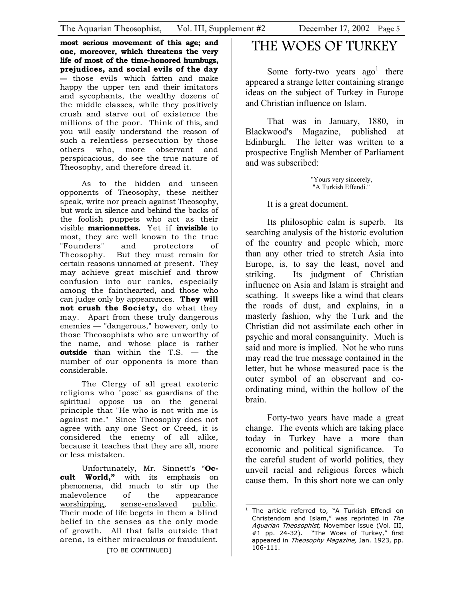<span id="page-4-0"></span>**most serious movement of this age; and one, moreover, which threatens the very life of most of the time-honored humbugs, prejudices, and social evils of the day —** those evils which fatten and make happy the upper ten and their imitators and sycophants, the wealthy dozens of the middle classes, while they positively crush and starve out of existence the millions of the poor. Think of this, and you will easily understand the reason of such a relentless persecution by those others who, more observant and perspicacious, do see the true nature of Theosophy, and therefore dread it.

As to the hidden and unseen opponents of Theosophy, these neither speak, write nor preach against Theosophy, but work in silence and behind the backs of the foolish puppets who act as their visible **marionnettes.** Yet if **invisible** to most, they are well known to the true "Founders" and protectors of Theosophy. But they must remain for certain reasons unnamed at present. They may achieve great mischief and throw confusion into our ranks, especially among the fainthearted, and those who can judge only by appearances. **They will not crush the Society,** do what they may. Apart from these truly dangerous enemies — "dangerous," however, only to those Theosophists who are unworthy of the name, and whose place is rather **outside** than within the T.S. — the number of our opponents is more than considerable.

The Clergy of all great exoteric religions who "pose" as guardians of the spiritual oppose us on the general principle that "He who is not with me is against me." Since Theosophy does not agree with any one Sect or Creed, it is considered the enemy of all alike, because it teaches that they are all, more or less mistaken.

Unfortunately, Mr. Sinnett's "**Occult World,"** with its emphasis on phenomena, did much to stir up the malevolence of the appearance worshipping, sense-enslaved public. Their mode of life begets in them a blind belief in the senses as the only mode of growth. All that falls outside that arena, is either miraculous or fraudulent.

### [TO BE CONTINUED]

# THE WOES OF TURKEY

Some forty-two years  $ago<sup>1</sup>$  $ago<sup>1</sup>$  $ago<sup>1</sup>$  there appeared a strange letter containing strange ideas on the subject of Turkey in Europe and Christian influence on Islam.

That was in January, 1880, in Blackwood's Magazine, published at Edinburgh. The letter was written to a prospective English Member of Parliament and was subscribed:

> "Yours very sincerely, "A Turkish Effendi."

It is a great document.

Its philosophic calm is superb. Its searching analysis of the historic evolution of the country and people which, more than any other tried to stretch Asia into Europe, is, to say the least, novel and striking. Its judgment of Christian influence on Asia and Islam is straight and scathing. It sweeps like a wind that clears the roads of dust, and explains, in a masterly fashion, why the Turk and the Christian did not assimilate each other in psychic and moral consanguinity. Much is said and more is implied. Not he who runs may read the true message contained in the letter, but he whose measured pace is the outer symbol of an observant and coordinating mind, within the hollow of the brain.

Forty-two years have made a great change. The events which are taking place today in Turkey have a more than economic and political significance. To the careful student of world politics, they unveil racial and religious forces which cause them. In this short note we can only

<span id="page-4-1"></span> $\overline{a}$ 1 The article referred to, "A Turkish Effendi on Christendom and Islam," was reprinted in The Aquarian Theosophist, November issue (Vol. III, #1 pp. 24-32). "The Woes of Turkey," first "The Woes of Turkey," first appeared in Theosophy Magazine, Jan. 1923, pp. 106-111.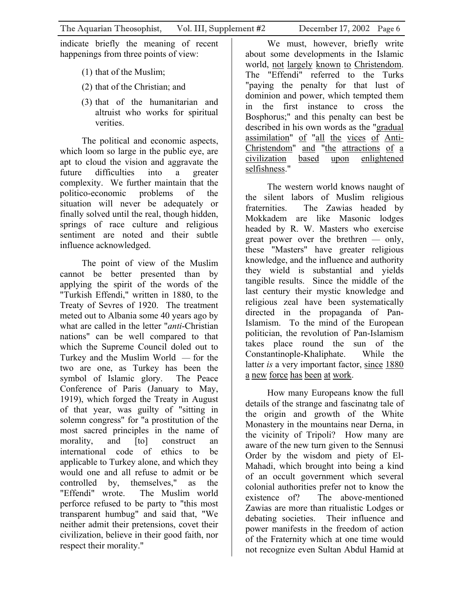indicate briefly the meaning of recent happenings from three points of view:

- (1) that of the Muslim;
- (2) that of the Christian; and
- (3) that of the humanitarian and altruist who works for spiritual verities.

The political and economic aspects, which loom so large in the public eye, are apt to cloud the vision and aggravate the future difficulties into a greater complexity. We further maintain that the politico-economic problems of the situation will never be adequately or finally solved until the real, though hidden, springs of race culture and religious sentiment are noted and their subtle influence acknowledged.

The point of view of the Muslim cannot be better presented than by applying the spirit of the words of the "Turkish Effendi," written in 1880, to the Treaty of Sevres of 1920. The treatment meted out to Albania some 40 years ago by what are called in the letter "*anti*-Christian nations" can be well compared to that which the Supreme Council doled out to Turkey and the Muslim World — for the two are one, as Turkey has been the symbol of Islamic glory. The Peace Conference of Paris (January to May, 1919), which forged the Treaty in August of that year, was guilty of "sitting in solemn congress" for "a prostitution of the most sacred principles in the name of morality, and [to] construct an international code of ethics to be applicable to Turkey alone, and which they would one and all refuse to admit or be controlled by, themselves," as the "Effendi" wrote. The Muslim world perforce refused to be party to "this most transparent humbug" and said that, "We neither admit their pretensions, covet their civilization, believe in their good faith, nor respect their morality."

We must, however, briefly write about some developments in the Islamic world, not largely known to Christendom. The "Effendi" referred to the Turks "paying the penalty for that lust of dominion and power, which tempted them in the first instance to cross the Bosphorus;" and this penalty can best be described in his own words as the "gradual assimilation" of "all the vices of Anti-Christendom" and "the attractions of a civilization based upon enlightened selfishness."

The western world knows naught of the silent labors of Muslim religious fraternities. The Zawias headed by Mokkadem are like Masonic lodges headed by R. W. Masters who exercise great power over the brethren — only, these "Masters" have greater religious knowledge, and the influence and authority they wield is substantial and yields tangible results. Since the middle of the last century their mystic knowledge and religious zeal have been systematically directed in the propaganda of Pan-Islamism. To the mind of the European politician, the revolution of Pan-Islamism takes place round the sun of the Constantinople-Khaliphate. While the latter *is* a very important factor, since 1880 a new force has been at work.

How many Europeans know the full details of the strange and fascinatng tale of the origin and growth of the White Monastery in the mountains near Derna, in the vicinity of Tripoli? How many are aware of the new turn given to the Sennusi Order by the wisdom and piety of El-Mahadi, which brought into being a kind of an occult government which several colonial authorities prefer not to know the existence of? The above-mentioned Zawias are more than ritualistic Lodges or debating societies. Their influence and power manifests in the freedom of action of the Fraternity which at one time would not recognize even Sultan Abdul Hamid at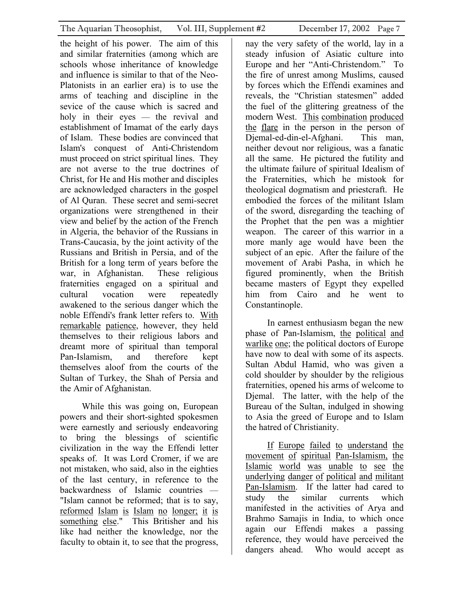the height of his power. The aim of this and similar fraternities (among which are schools whose inheritance of knowledge and influence is similar to that of the Neo-Platonists in an earlier era) is to use the arms of teaching and discipline in the sevice of the cause which is sacred and holy in their eyes — the revival and establishment of Imamat of the early days of Islam. These bodies are convinced that Islam's conquest of Anti-Christendom must proceed on strict spiritual lines. They are not averse to the true doctrines of Christ, for He and His mother and disciples are acknowledged characters in the gospel of Al Quran. These secret and semi-secret organizations were strengthened in their view and belief by the action of the French in Algeria, the behavior of the Russians in Trans-Caucasia, by the joint activity of the Russians and British in Persia, and of the British for a long term of years before the war, in Afghanistan. These religious fraternities engaged on a spiritual and cultural vocation were repeatedly awakened to the serious danger which the noble Effendi's frank letter refers to. With remarkable patience, however, they held themselves to their religious labors and dreamt more of spiritual than temporal Pan-Islamism, and therefore kept themselves aloof from the courts of the Sultan of Turkey, the Shah of Persia and the Amir of Afghanistan.

While this was going on, European powers and their short-sighted spokesmen were earnestly and seriously endeavoring to bring the blessings of scientific civilization in the way the Effendi letter speaks of. It was Lord Cromer, if we are not mistaken, who said, also in the eighties of the last century, in reference to the backwardness of Islamic countries — "Islam cannot be reformed; that is to say, reformed Islam is Islam no longer; it is something else." This Britisher and his like had neither the knowledge, nor the faculty to obtain it, to see that the progress,

nay the very safety of the world, lay in a steady infusion of Asiatic culture into Europe and her "Anti-Christendom." To the fire of unrest among Muslims, caused by forces which the Effendi examines and reveals, the "Christian statesmen" added the fuel of the glittering greatness of the modern West. This combination produced the flare in the person in the person of Djemal-ed-din-el-Afghani. This man, neither devout nor religious, was a fanatic all the same. He pictured the futility and the ultimate failure of spiritual Idealism of the Fraternities, which he mistook for theological dogmatism and priestcraft. He embodied the forces of the militant Islam of the sword, disregarding the teaching of the Prophet that the pen was a mightier weapon. The career of this warrior in a more manly age would have been the subject of an epic. After the failure of the movement of Arabi Pasha, in which he figured prominently, when the British became masters of Egypt they expelled him from Cairo and he went to Constantinople.

In earnest enthusiasm began the new phase of Pan-Islamism, the political and warlike one; the political doctors of Europe have now to deal with some of its aspects. Sultan Abdul Hamid, who was given a cold shoulder by shoulder by the religious fraternities, opened his arms of welcome to Djemal. The latter, with the help of the Bureau of the Sultan, indulged in showing to Asia the greed of Europe and to Islam the hatred of Christianity.

If Europe failed to understand the movement of spiritual Pan-Islamism, the Islamic world was unable to see the underlying danger of political and militant Pan-Islamism. If the latter had cared to study the similar currents which manifested in the activities of Arya and Brahmo Samajis in India, to which once again our Effendi makes a passing reference, they would have perceived the dangers ahead. Who would accept as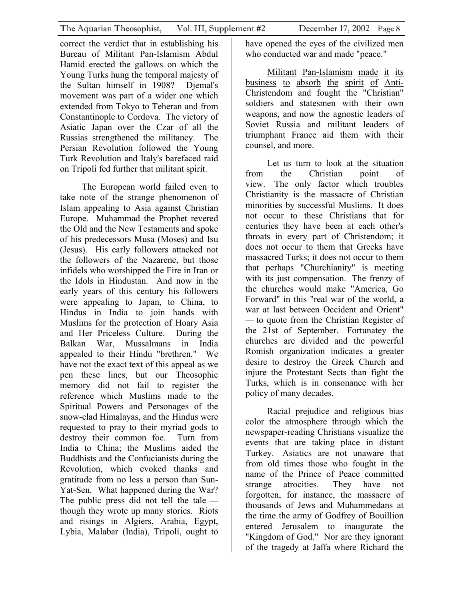correct the verdict that in establishing his Bureau of Militant Pan-Islamism Abdul Hamid erected the gallows on which the Young Turks hung the temporal majesty of the Sultan himself in 1908? Djemal's movement was part of a wider one which extended from Tokyo to Teheran and from Constantinople to Cordova. The victory of Asiatic Japan over the Czar of all the Russias strengthened the militancy. The Persian Revolution followed the Young Turk Revolution and Italy's barefaced raid on Tripoli fed further that militant spirit.

The European world failed even to take note of the strange phenomenon of Islam appealing to Asia against Christian Europe. Muhammad the Prophet revered the Old and the New Testaments and spoke of his predecessors Musa (Moses) and Isu (Jesus). His early followers attacked not the followers of the Nazarene, but those infidels who worshipped the Fire in Iran or the Idols in Hindustan. And now in the early years of this century his followers were appealing to Japan, to China, to Hindus in India to join hands with Muslims for the protection of Hoary Asia and Her Priceless Culture. During the Balkan War, Mussalmans in India appealed to their Hindu "brethren." We have not the exact text of this appeal as we pen these lines, but our Theosophic memory did not fail to register the reference which Muslims made to the Spiritual Powers and Personages of the snow-clad Himalayas, and the Hindus were requested to pray to their myriad gods to destroy their common foe. Turn from India to China; the Muslims aided the Buddhists and the Confucianists during the Revolution, which evoked thanks and gratitude from no less a person than Sun-Yat-Sen. What happened during the War? The public press did not tell the tale though they wrote up many stories. Riots and risings in Algiers, Arabia, Egypt, Lybia, Malabar (India), Tripoli, ought to

have opened the eyes of the civilized men who conducted war and made "peace."

Militant Pan-Islamism made it its business to absorb the spirit of Anti-Christendom and fought the "Christian" soldiers and statesmen with their own weapons, and now the agnostic leaders of Soviet Russia and militant leaders of triumphant France aid them with their counsel, and more.

Let us turn to look at the situation from the Christian point of view. The only factor which troubles Christianity is the massacre of Christian minorities by successful Muslims. It does not occur to these Christians that for centuries they have been at each other's throats in every part of Christendom; it does not occur to them that Greeks have massacred Turks; it does not occur to them that perhaps "Churchianity" is meeting with its just compensation. The frenzy of the churches would make "America, Go Forward" in this "real war of the world, a war at last between Occident and Orient" — to quote from the Christian Register of the 21st of September. Fortunatey the churches are divided and the powerful Romish organization indicates a greater desire to destroy the Greek Church and injure the Protestant Sects than fight the Turks, which is in consonance with her policy of many decades.

Racial prejudice and religious bias color the atmosphere through which the newspaper-reading Christians visualize the events that are taking place in distant Turkey. Asiatics are not unaware that from old times those who fought in the name of the Prince of Peace committed strange atrocities. They have not forgotten, for instance, the massacre of thousands of Jews and Muhammedans at the time the army of Godfrey of Bouillion entered Jerusalem to inaugurate the "Kingdom of God." Nor are they ignorant of the tragedy at Jaffa where Richard the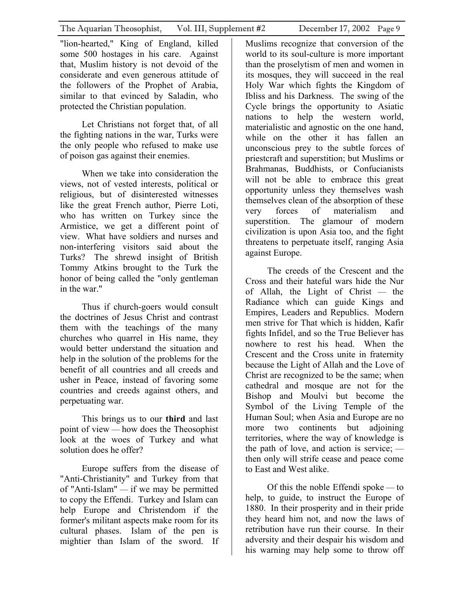"lion-hearted," King of England, killed some 500 hostages in his care. Against that, Muslim history is not devoid of the considerate and even generous attitude of the followers of the Prophet of Arabia, similar to that evinced by Saladin, who protected the Christian population.

Let Christians not forget that, of all the fighting nations in the war, Turks were the only people who refused to make use of poison gas against their enemies.

When we take into consideration the views, not of vested interests, political or religious, but of disinterested witnesses like the great French author, Pierre Loti, who has written on Turkey since the Armistice, we get a different point of view. What have soldiers and nurses and non-interfering visitors said about the Turks? The shrewd insight of British Tommy Atkins brought to the Turk the honor of being called the "only gentleman in the war."

Thus if church-goers would consult the doctrines of Jesus Christ and contrast them with the teachings of the many churches who quarrel in His name, they would better understand the situation and help in the solution of the problems for the benefit of all countries and all creeds and usher in Peace, instead of favoring some countries and creeds against others, and perpetuating war.

This brings us to our **third** and last point of view — how does the Theosophist look at the woes of Turkey and what solution does he offer?

Europe suffers from the disease of "Anti-Christianity" and Turkey from that of "Anti-Islam" — if we may be permitted to copy the Effendi. Turkey and Islam can help Europe and Christendom if the former's militant aspects make room for its cultural phases. Islam of the pen is mightier than Islam of the sword. If

Muslims recognize that conversion of the world to its soul-culture is more important than the proselytism of men and women in its mosques, they will succeed in the real Holy War which fights the Kingdom of Ibliss and his Darkness. The swing of the Cycle brings the opportunity to Asiatic nations to help the western world, materialistic and agnostic on the one hand, while on the other it has fallen an unconscious prey to the subtle forces of priestcraft and superstition; but Muslims or Brahmanas, Buddhists, or Confucianists will not be able to embrace this great opportunity unless they themselves wash themselves clean of the absorption of these very forces of materialism and superstition. The glamour of modern civilization is upon Asia too, and the fight threatens to perpetuate itself, ranging Asia against Europe.

The creeds of the Crescent and the Cross and their hateful wars hide the Nur of Allah, the Light of Christ — the Radiance which can guide Kings and Empires, Leaders and Republics. Modern men strive for That which is hidden, Kafir fights Infidel, and so the True Believer has nowhere to rest his head. When the Crescent and the Cross unite in fraternity because the Light of Allah and the Love of Christ are recognized to be the same; when cathedral and mosque are not for the Bishop and Moulvi but become the Symbol of the Living Temple of the Human Soul; when Asia and Europe are no more two continents but adjoining territories, where the way of knowledge is the path of love, and action is service; then only will strife cease and peace come to East and West alike.

Of this the noble Effendi spoke — to help, to guide, to instruct the Europe of 1880. In their prosperity and in their pride they heard him not, and now the laws of retribution have run their course. In their adversity and their despair his wisdom and his warning may help some to throw off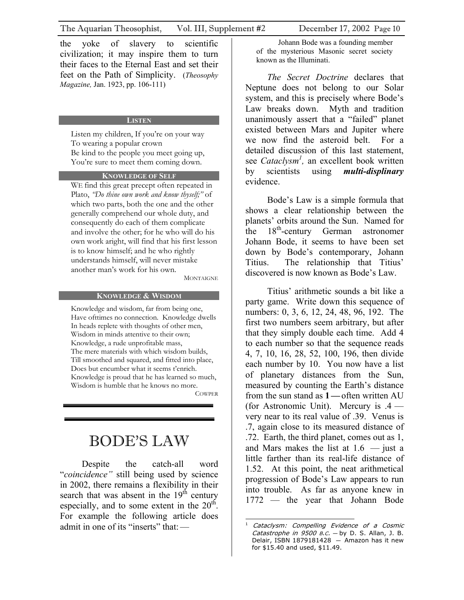<span id="page-9-0"></span>civilization; it may inspire them to turn their faces to the Eternal East and set their feet on the Path of Simplicity. (*Theosophy Magazine,* Jan. 1923, pp. 106-111)

#### **LISTEN**

Listen my children, If you're on your way To wearing a popular crown Be kind to the people you meet going up, You're sure to meet them coming down.

### **KNOWLEDGE OF SELF**

WE find this great precept often repeated in Plato, *"Do thine own work and know thyself;"* of which two parts, both the one and the other generally comprehend our whole duty, and consequently do each of them complicate and involve the other; for he who will do his own work aright, will find that his first lesson is to know himself; and he who rightly understands himself, will never mistake another man's work for his own.

#### **KNOWLEDGE & WISDOM**

Knowledge and wisdom, far from being one, Have ofttimes no connection. Knowledge dwells In heads replete with thoughts of other men, Wisdom in minds attentive to their own; Knowledge, a rude unprofitable mass, The mere materials with which wisdom builds, Till smoothed and squared, and fitted into place, Does but encumber what it seems t'enrich. Knowledge is proud that he has learned so much, Wisdom is humble that he knows no more.

**COWPER** 

# BODE'S LAW

Despite the catch-all word "*coincidence"* still being used by science in 2002, there remains a flexibility in their search that was absent in the  $19<sup>th</sup>$  century especially, and to some extent in the  $20<sup>th</sup>$ . For example the following article does admit in one of its "inserts" that  $-$ 

Johann Bode was a founding member of the mysterious Masonic secret society known as the Illuminati.

*The Secret Doctrine* declares that Neptune does not belong to our Solar system, and this is precisely where Bode's Law breaks down. Myth and tradition unanimously assert that a "failed" planet existed between Mars and Jupiter where we now find the asteroid belt. For a detailed discussion of this last statement, see *Cataclysm[1](#page-9-1) ,* an excellent book written by scientists using *multi-displinary* evidence.

Bode's Law is a simple formula that shows a clear relationship between the planets' orbits around the Sun. Named for the 18<sup>th</sup>-century German astronomer Johann Bode, it seems to have been set down by Bode's contemporary, Johann Titius. The relationship that Titius'  $M_{\text{ONTAIGNE}}$  discovered is now known as Bode's Law.

> Titius' arithmetic sounds a bit like a party game. Write down this sequence of numbers: 0, 3, 6, 12, 24, 48, 96, 192. The first two numbers seem arbitrary, but after that they simply double each time. Add 4 to each number so that the sequence reads 4, 7, 10, 16, 28, 52, 100, 196, then divide each number by 10. You now have a list of planetary distances from the Sun, measured by counting the Earth's distance from the sun stand as **1—**often written AU (for Astronomic Unit).Mercury is .4 very near to its real value of .39. Venus is .7, again close to its measured distance of .72. Earth, the third planet, comes out as 1, and Mars makes the list at  $1.6$  — just a little farther than its real-life distance of 1.52. At this point, the neat arithmetical progression of Bode's Law appears to run into trouble. As far as anyone knew in 1772 — the year that Johann Bode

<span id="page-9-1"></span>Catastrophe in  $9500$  B.C. - by D. S. Allan, J. B.  $1$  Cataclysm: Compelling Evidence of a Cosmic Delair, ISBN 1879181428  $-$  Amazon has it new for \$15.40 and used, \$11.49.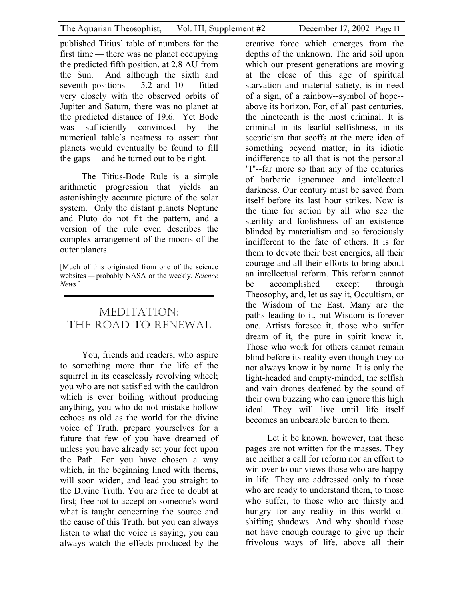<span id="page-10-0"></span>published Titius' table of numbers for the first time — there was no planet occupying the predicted fifth position, at 2.8 AU from the Sun. And although the sixth and seventh positions  $-5.2$  and  $10$   $-$  fitted very closely with the observed orbits of Jupiter and Saturn, there was no planet at the predicted distance of 19.6. Yet Bode was sufficiently convinced by the numerical table's neatness to assert that planets would eventually be found to fill the gaps—and he turned out to be right.

The Titius-Bode Rule is a simple arithmetic progression that yields an astonishingly accurate picture of the solar system. Only the distant planets Neptune and Pluto do not fit the pattern, and a version of the rule even describes the complex arrangement of the moons of the outer planets.

[Much of this originated from one of the science websites — probably NASA or the weekly, *Science News.*]

### MEDITATION: THE ROAD TO RENEWAL

You, friends and readers, who aspire to something more than the life of the squirrel in its ceaselessly revolving wheel: you who are not satisfied with the cauldron which is ever boiling without producing anything, you who do not mistake hollow echoes as old as the world for the divine voice of Truth, prepare yourselves for a future that few of you have dreamed of unless you have already set your feet upon the Path. For you have chosen a way which, in the beginning lined with thorns, will soon widen, and lead you straight to the Divine Truth. You are free to doubt at first; free not to accept on someone's word what is taught concerning the source and the cause of this Truth, but you can always listen to what the voice is saying, you can always watch the effects produced by the

creative force which emerges from the depths of the unknown. The arid soil upon which our present generations are moving at the close of this age of spiritual starvation and material satiety, is in need of a sign, of a rainbow--symbol of hope- above its horizon. For, of all past centuries, the nineteenth is the most criminal. It is criminal in its fearful selfishness, in its scepticism that scoffs at the mere idea of something beyond matter; in its idiotic indifference to all that is not the personal "I"--far more so than any of the centuries of barbaric ignorance and intellectual darkness. Our century must be saved from itself before its last hour strikes. Now is the time for action by all who see the sterility and foolishness of an existence blinded by materialism and so ferociously indifferent to the fate of others. It is for them to devote their best energies, all their courage and all their efforts to bring about an intellectual reform. This reform cannot be accomplished except through Theosophy, and, let us say it, Occultism, or the Wisdom of the East. Many are the paths leading to it, but Wisdom is forever one. Artists foresee it, those who suffer dream of it, the pure in spirit know it. Those who work for others cannot remain blind before its reality even though they do not always know it by name. It is only the light-headed and empty-minded, the selfish and vain drones deafened by the sound of their own buzzing who can ignore this high ideal. They will live until life itself becomes an unbearable burden to them.

Let it be known, however, that these pages are not written for the masses. They are neither a call for reform nor an effort to win over to our views those who are happy in life. They are addressed only to those who are ready to understand them, to those who suffer, to those who are thirsty and hungry for any reality in this world of shifting shadows. And why should those not have enough courage to give up their frivolous ways of life, above all their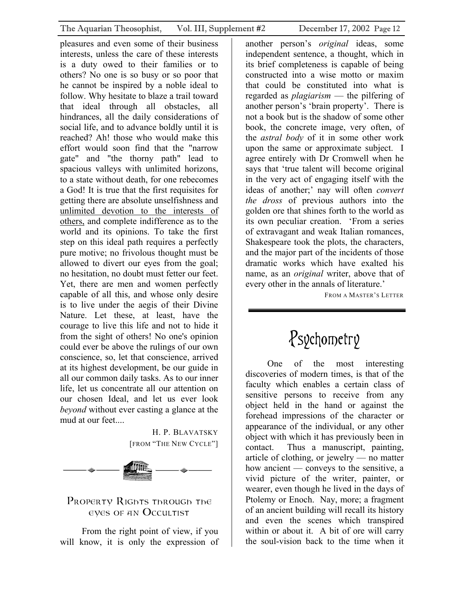<span id="page-11-0"></span>pleasures and even some of their business interests, unless the care of these interests is a duty owed to their families or to others? No one is so busy or so poor that he cannot be inspired by a noble ideal to follow. Why hesitate to blaze a trail toward that ideal through all obstacles, all hindrances, all the daily considerations of social life, and to advance boldly until it is reached? Ah! those who would make this effort would soon find that the "narrow gate" and "the thorny path" lead to spacious valleys with unlimited horizons, to a state without death, for one rebecomes a God! It is true that the first requisites for getting there are absolute unselfishness and unlimited devotion to the interests of others, and complete indifference as to the world and its opinions. To take the first step on this ideal path requires a perfectly pure motive; no frivolous thought must be allowed to divert our eyes from the goal; no hesitation, no doubt must fetter our feet. Yet, there are men and women perfectly capable of all this, and whose only desire is to live under the aegis of their Divine Nature. Let these, at least, have the courage to live this life and not to hide it from the sight of others! No one's opinion could ever be above the rulings of our own conscience, so, let that conscience, arrived at its highest development, be our guide in all our common daily tasks. As to our inner life, let us concentrate all our attention on our chosen Ideal, and let us ever look *beyond* without ever casting a glance at the mud at our feet....

> H. P. BLAVATSKY [FROM "THE NEW CYCLE"]



### PROPERTY RIGHTS THROUGH THE eyes of an Occultist

From the right point of view, if you will know, it is only the expression of another person's *original* ideas, some independent sentence, a thought, which in its brief completeness is capable of being constructed into a wise motto or maxim that could be constituted into what is regarded as *plagiarism* — the pilfering of another person's 'brain property'. There is not a book but is the shadow of some other book, the concrete image, very often, of the *astral body* of it in some other work upon the same or approximate subject. I agree entirely with Dr Cromwell when he says that 'true talent will become original in the very act of engaging itself with the ideas of another;' nay will often *convert the dross* of previous authors into the golden ore that shines forth to the world as its own peculiar creation. 'From a series of extravagant and weak Italian romances, Shakespeare took the plots, the characters, and the major part of the incidents of those dramatic works which have exalted his name, as an *original* writer, above that of every other in the annals of literature.'

FROM A MASTER'S LETTER

# Psychometry

One of the most interesting discoveries of modern times, is that of the faculty which enables a certain class of sensitive persons to receive from any object held in the hand or against the forehead impressions of the character or appearance of the individual, or any other object with which it has previously been in contact. Thus a manuscript, painting, article of clothing, or jewelry — no matter how ancient — conveys to the sensitive, a vivid picture of the writer, painter, or wearer, even though he lived in the days of Ptolemy or Enoch. Nay, more; a fragment of an ancient building will recall its history and even the scenes which transpired within or about it. A bit of ore will carry the soul-vision back to the time when it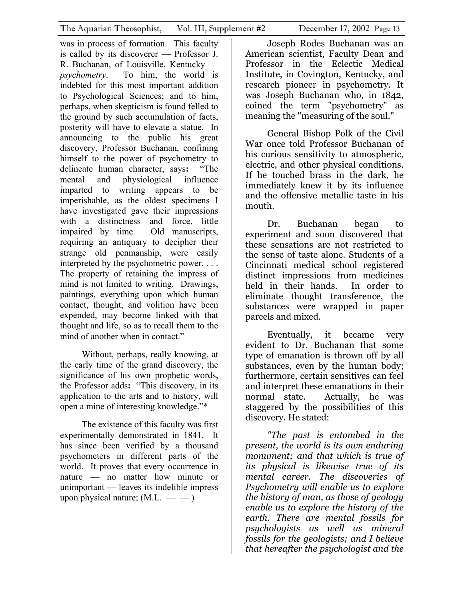was in process of formation. This faculty is called by its discoverer — Professor J. R. Buchanan, of Louisville, Kentucky *psychometry*. To him, the world is indebted for this most important addition to Psychological Sciences; and to him, perhaps, when skepticism is found felled to the ground by such accumulation of facts, posterity will have to elevate a statue. In announcing to the public his great discovery, Professor Buchanan, confining himself to the power of psychometry to delineate human character, says**:** "The mental and physiological influence imparted to writing appears to be imperishable, as the oldest specimens I have investigated gave their impressions with a distinctness and force, little impaired by time. Old manuscripts, requiring an antiquary to decipher their strange old penmanship, were easily interpreted by the psychometric power. . . . The property of retaining the impress of mind is not limited to writing. Drawings, paintings, everything upon which human contact, thought, and volition have been expended, may become linked with that thought and life, so as to recall them to the mind of another when in contact."

Without, perhaps, really knowing, at the early time of the grand discovery, the significance of his own prophetic words, the Professor adds**:** "This discovery, in its application to the arts and to history, will open a mine of interesting knowledge."\*

The existence of this faculty was first experimentally demonstrated in 1841. It has since been verified by a thousand psychometers in different parts of the world. It proves that every occurrence in nature — no matter how minute or unimportant — leaves its indelible impress upon physical nature;  $(M.L. \ - \ -)$ 

Joseph Rodes Buchanan was an American scientist, Faculty Dean and Professor in the Eclectic Medical Institute, in Covington, Kentucky, and research pioneer in psychometry. It was Joseph Buchanan who, in 1842, coined the term "psychometry" as meaning the "measuring of the soul."

General Bishop Polk of the Civil War once told Professor Buchanan of his curious sensitivity to atmospheric, electric, and other physical conditions. If he touched brass in the dark, he immediately knew it by its influence and the offensive metallic taste in his mouth.

Dr. Buchanan began to experiment and soon discovered that these sensations are not restricted to the sense of taste alone. Students of a Cincinnati medical school registered distinct impressions from medicines held in their hands. In order to eliminate thought transference, the substances were wrapped in paper parcels and mixed.

Eventually, it became very evident to Dr. Buchanan that some type of emanation is thrown off by all substances, even by the human body; furthermore, certain sensitives can feel and interpret these emanations in their normal state. Actually, he was staggered by the possibilities of this discovery. He stated:

*"The past is entombed in the present, the world is its own enduring monument; and that which is true of its physical is likewise true of its mental career. The discoveries of Psychometry will enable us to explore the history of man, as those of geology enable us to explore the history of the earth. There are mental fossils for psychologists as well as mineral fossils for the geologists; and I believe that hereafter the psychologist and the*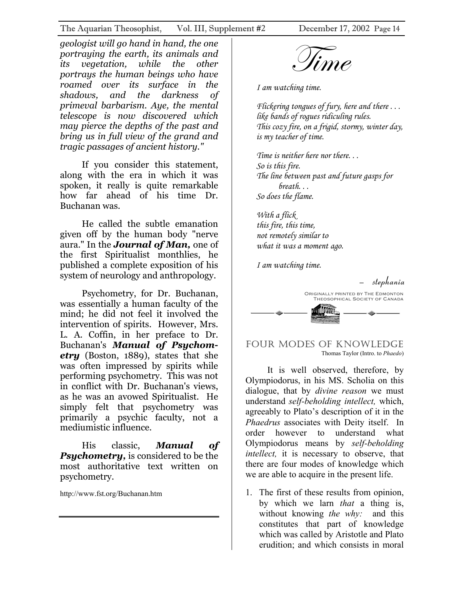<span id="page-13-0"></span>geologist will go hand in hand, the one<br>portraying the earth, its animals and<br>its vegetation, while the other<br>portrays the human beings who have *portraying the earth, its animals and its vegetation, while the other portrays the human beings who have roamed over its surface in the shadows, and the darkness of primeval barbarism. Aye, the mental telescope is now discovered which may pierce the depths of the past and bring us in full view of the grand and tragic passages of ancient history."*

If you consider this statement, along with the era in which it was spoken, it really is quite remarkable how far ahead of his time Dr. Buchanan was.

He called the subtle emanation given off by the human body "nerve aura." In the *Journal of Man,* one of the first Spiritualist monthlies, he published a complete exposition of his system of neurology and anthropology.

Psychometry, for Dr. Buchanan, was essentially a human faculty of the mind; he did not feel it involved the intervention of spirits. However, Mrs. L. A. Coffin, in her preface to Dr. Buchanan's *Manual of Psychometry* (Boston, 1889), states that she was often impressed by spirits while performing psychometry. This was not in conflict with Dr. Buchanan's views, as he was an avowed Spiritualist. He simply felt that psychometry was primarily a psychic faculty, not a mediumistic influence.

His classic, *Manual of Psychometry,* is considered to be the most authoritative text written on psychometry.

http://www.fst.org/Buchanan.htm

*I am watching time.* 

*Flickering tongues of fury, here and there . . . like bands of rogues ridiculing rules. This cozy fire, on a frigid, stormy, winter day, is my teacher of time.* 

*Time is neither here nor there. . . So is this fire. The line between past and future gasps for breath. . . So does the flame.* 

*With a flick this fire, this time, not remotely similar to what it was a moment ago.* 

*I am watching time.* 



### FOUR MODES OF KNOWLEDGE Thomas Taylor (Intro. to *Phaedo*)

It is well observed, therefore, by Olympiodorus, in his MS. Scholia on this dialogue, that by *divine reason* we must understand *self-beholding intellect,* which, agreeably to Plato's description of it in the *Phaedrus* associates with Deity itself. In order however to understand what Olympiodorus means by *self-beholding intellect,* it is necessary to observe, that there are four modes of knowledge which we are able to acquire in the present life.

1. The first of these results from opinion, by which we larn *that* a thing is, without knowing *the why:* and this constitutes that part of knowledge which was called by Aristotle and Plato erudition; and which consists in moral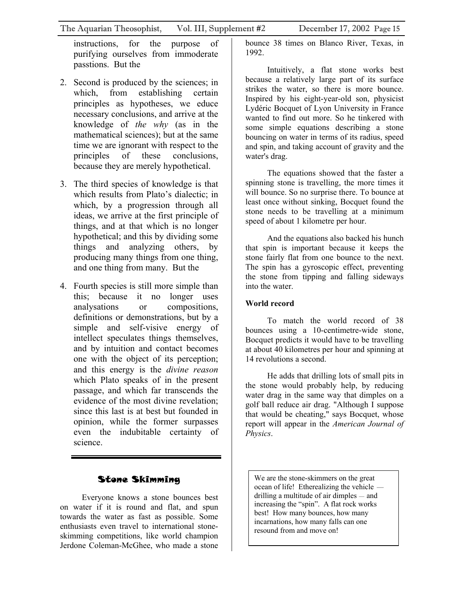<span id="page-14-0"></span>instructions, for the purpose of purifying ourselves from immoderate passtions. But the

- 2. Second is produced by the sciences; in which, from establishing certain principles as hypotheses, we educe necessary conclusions, and arrive at the knowledge of *the why* (as in the mathematical sciences); but at the same time we are ignorant with respect to the principles of these conclusions, because they are merely hypothetical.
- 3. The third species of knowledge is that which results from Plato's dialectic; in which, by a progression through all ideas, we arrive at the first principle of things, and at that which is no longer hypothetical; and this by dividing some things and analyzing others, by producing many things from one thing, and one thing from many. But the
- 4. Fourth species is still more simple than this; because it no longer uses analysations or compositions, definitions or demonstrations, but by a simple and self-visive energy of intellect speculates things themselves, and by intuition and contact becomes one with the object of its perception; and this energy is the *divine reason* which Plato speaks of in the present passage, and which far transcends the evidence of the most divine revelation; since this last is at best but founded in opinion, while the former surpasses even the indubitable certainty of science.

### Stone Skimming

Everyone knows a stone bounces best on water if it is round and flat, and spun towards the water as fast as possible. Some enthusiasts even travel to international stoneskimming competitions, like world champion Jerdone Coleman-McGhee, who made a stone

bounce 38 times on Blanco River, Texas, in 1992.

Intuitively, a flat stone works best because a relatively large part of its surface strikes the water, so there is more bounce. Inspired by his eight-year-old son, physicist Lydéric Bocquet of Lyon University in France wanted to find out more. So he tinkered with some simple equations describing a stone bouncing on water in terms of its radius, speed and spin, and taking account of gravity and the water's drag.

The equations showed that the faster a spinning stone is travelling, the more times it will bounce. So no surprise there. To bounce at least once without sinking, Bocquet found the stone needs to be travelling at a minimum speed of about 1 kilometre per hour.

And the equations also backed his hunch that spin is important because it keeps the stone fairly flat from one bounce to the next. The spin has a gyroscopic effect, preventing the stone from tipping and falling sideways into the water.

### **World record**

To match the world record of 38 bounces using a 10-centimetre-wide stone, Bocquet predicts it would have to be travelling at about 40 kilometres per hour and spinning at 14 revolutions a second.

He adds that drilling lots of small pits in the stone would probably help, by reducing water drag in the same way that dimples on a golf ball reduce air drag. "Although I suppose that would be cheating," says Bocquet, whose report will appear in the *American Journal of Physics*.

We are the stone-skimmers on the great ocean of life! Etherealizing the vehicle drilling a multitude of air dimples — and resound from and move on! increasing the "spin". A flat rock works best! How many bounces, how many incarnations, how many falls can one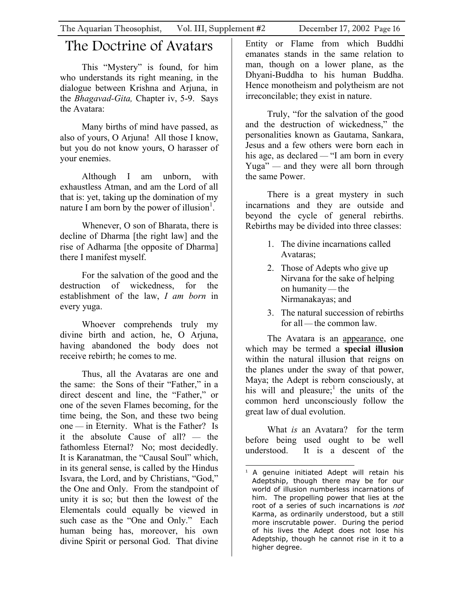## <span id="page-15-0"></span>The Doctrine of Avatars

This "Mystery" is found, for him who understands its right meaning, in the dialogue between Krishna and Arjuna, in the *Bhagavad-Gita,* Chapter iv, 5-9. Says the Avatara:

Many births of mind have passed, as also of yours, O Arjuna! All those I know, but you do not know yours, O harasser of your enemies.

Although I am unborn, with exhaustless Atman, and am the Lord of all that is: yet, taking up the domination of my nature I am born by the power of illusion<sup>1</sup>.

Whenever, O son of Bharata, there is decline of Dharma [the right law] and the rise of Adharma [the opposite of Dharma] there I manifest myself.

For the salvation of the good and the destruction of wickedness, for the establishment of the law, *I am born* in every yuga.

Whoever comprehends truly my divine birth and action, he, O Arjuna, having abandoned the body does not receive rebirth; he comes to me.

Thus, all the Avataras are one and the same: the Sons of their "Father," in a direct descent and line, the "Father," or one of the seven Flames becoming, for the time being, the Son, and these two being one — in Eternity. What is the Father? Is it the absolute Cause of all? — the fathomless Eternal? No; most decidedly. It is Karanatman, the "Causal Soul" which, in its general sense, is called by the Hindus Isvara, the Lord, and by Christians, "God," the One and Only. From the standpoint of unity it is so; but then the lowest of the Elementals could equally be viewed in such case as the "One and Only." Each human being has, moreover, his own divine Spirit or personal God. That divine

Entity or Flame from which Buddhi emanates stands in the same relation to man, though on a lower plane, as the Dhyani-Buddha to his human Buddha. Hence monotheism and polytheism are not irreconcilable; they exist in nature.

Truly, "for the salvation of the good and the destruction of wickedness," the personalities known as Gautama, Sankara, Jesus and a few others were born each in his age, as declared — "I am born in every Yuga" — and they were all born through the same Power.

There is a great mystery in such incarnations and they are outside and beyond the cycle of general rebirths. Rebirths may be divided into three classes:

- 1. The divine incarnations called Avataras;
- 2. Those of Adepts who give up Nirvana for the sake of helping on humanity — the Nirmanakayas; and
- 3. The natural succession of rebirths for all — the common law.

The Avatara is an appearance, one which may be termed a **special illusion** within the natural illusion that reigns on the planes under the sway of that power, Maya; the Adept is reborn consciously, at his will and pleasure;<sup>1</sup> the units of the common herd unconsciously follow the great law of dual evolution.

What *is* an Avatara? for the term before being used ought to be well understood. It is a descent of the

<span id="page-15-1"></span> $\overline{a}$  $1$  A genuine initiated Adept will retain his Adeptship, though there may be for our world of illusion numberless incarnations of him. The propelling power that lies at the root of a series of such incarnations is not Karma, as ordinarily understood, but a still more inscrutable power. During the period of his lives the Adept does not lose his Adeptship, though he cannot rise in it to a higher degree.